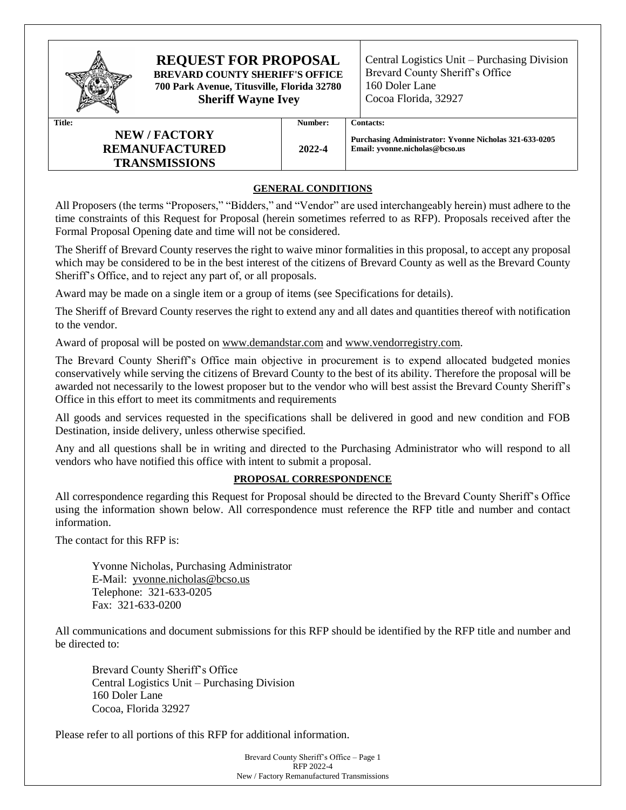

# **REQUEST FOR PROPOSAL**

**BREVARD COUNTY SHERIFF'S OFFICE 700 Park Avenue, Titusville, Florida 32780 Sheriff Wayne Ivey**

Central Logistics Unit – Purchasing Division Brevard County Sheriff's Office 160 Doler Lane Cocoa Florida, 32927

# **NEW / FACTORY REMANUFACTURED TRANSMISSIONS**

#### **Title: Number: Contacts:**

**Purchasing Administrator: Yvonne Nicholas 321-633-0205 Email: yvonne.nicholas@bcso.us**

# **GENERAL CONDITIONS**

**2022-4**

All Proposers (the terms "Proposers," "Bidders," and "Vendor" are used interchangeably herein) must adhere to the time constraints of this Request for Proposal (herein sometimes referred to as RFP). Proposals received after the Formal Proposal Opening date and time will not be considered.

The Sheriff of Brevard County reserves the right to waive minor formalities in this proposal, to accept any proposal which may be considered to be in the best interest of the citizens of Brevard County as well as the Brevard County Sheriff's Office, and to reject any part of, or all proposals.

Award may be made on a single item or a group of items (see Specifications for details).

The Sheriff of Brevard County reserves the right to extend any and all dates and quantities thereof with notification to the vendor.

Award of proposal will be posted on [www.demandstar.com](http://www.demandstar.com/) and www.vendorregistry.com.

The Brevard County Sheriff's Office main objective in procurement is to expend allocated budgeted monies conservatively while serving the citizens of Brevard County to the best of its ability. Therefore the proposal will be awarded not necessarily to the lowest proposer but to the vendor who will best assist the Brevard County Sheriff's Office in this effort to meet its commitments and requirements

All goods and services requested in the specifications shall be delivered in good and new condition and FOB Destination, inside delivery, unless otherwise specified.

Any and all questions shall be in writing and directed to the Purchasing Administrator who will respond to all vendors who have notified this office with intent to submit a proposal.

# **PROPOSAL CORRESPONDENCE**

All correspondence regarding this Request for Proposal should be directed to the Brevard County Sheriff's Office using the information shown below. All correspondence must reference the RFP title and number and contact information.

The contact for this RFP is:

Yvonne Nicholas, Purchasing Administrator E-Mail: yvonne.nicholas@bcso.us Telephone: 321-633-0205 Fax: 321-633-0200

All communications and document submissions for this RFP should be identified by the RFP title and number and be directed to:

Brevard County Sheriff's Office Central Logistics Unit – Purchasing Division 160 Doler Lane Cocoa, Florida 32927

Please refer to all portions of this RFP for additional information.

Brevard County Sheriff's Office – Page 1 RFP 2022-4 New / Factory Remanufactured Transmissions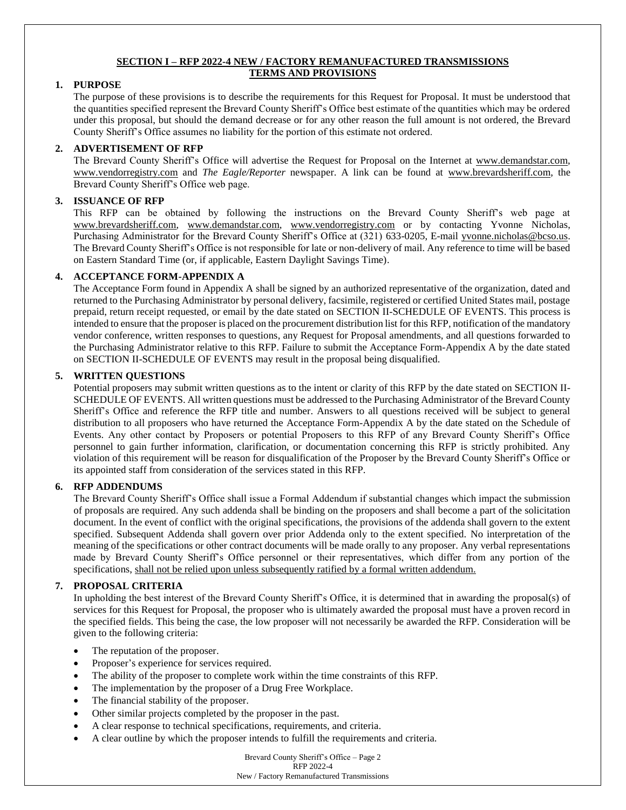# **SECTION I – RFP 2022-4 NEW / FACTORY REMANUFACTURED TRANSMISSIONS TERMS AND PROVISIONS**

# **1. PURPOSE**

The purpose of these provisions is to describe the requirements for this Request for Proposal. It must be understood that the quantities specified represent the Brevard County Sheriff's Office best estimate of the quantities which may be ordered under this proposal, but should the demand decrease or for any other reason the full amount is not ordered, the Brevard County Sheriff's Office assumes no liability for the portion of this estimate not ordered.

# **2. ADVERTISEMENT OF RFP**

The Brevard County Sheriff's Office will advertise the Request for Proposal on the Internet at [www.demandstar.com,](http://www.demandstar.com/) www.vendorregistry.com and *The Eagle/Reporter* newspaper. A link can be found at www.brevardsheriff.com, the Brevard County Sheriff's Office web page.

# **3. ISSUANCE OF RFP**

This RFP can be obtained by following the instructions on the Brevard County Sheriff's web page at [www.brevardsheriff.com,](http://www.brevardsheriff.com/) [www.demandstar.com,](http://www.demandstar.com/) [www.vendorregistry.com](http://www.vendorregistry.com/) or by contacting Yvonne Nicholas, Purchasing Administrator for the Brevard County Sheriff's Office at (321) 633-0205, E-mail [yvonne.nicholas@bcso.us.](mailto:trish.bestwick@brevardsheriff.com) The Brevard County Sheriff's Office is not responsible for late or non-delivery of mail. Any reference to time will be based on Eastern Standard Time (or, if applicable, Eastern Daylight Savings Time).

# **4. ACCEPTANCE FORM-APPENDIX A**

The Acceptance Form found in Appendix A shall be signed by an authorized representative of the organization, dated and returned to the Purchasing Administrator by personal delivery, facsimile, registered or certified United States mail, postage prepaid, return receipt requested, or email by the date stated on SECTION II-SCHEDULE OF EVENTS. This process is intended to ensure that the proposer is placed on the procurement distribution list for this RFP, notification of the mandatory vendor conference, written responses to questions, any Request for Proposal amendments, and all questions forwarded to the Purchasing Administrator relative to this RFP. Failure to submit the Acceptance Form-Appendix A by the date stated on SECTION II-SCHEDULE OF EVENTS may result in the proposal being disqualified.

# **5. WRITTEN QUESTIONS**

Potential proposers may submit written questions as to the intent or clarity of this RFP by the date stated on SECTION II-SCHEDULE OF EVENTS. All written questions must be addressed to the Purchasing Administrator of the Brevard County Sheriff's Office and reference the RFP title and number. Answers to all questions received will be subject to general distribution to all proposers who have returned the Acceptance Form-Appendix A by the date stated on the Schedule of Events. Any other contact by Proposers or potential Proposers to this RFP of any Brevard County Sheriff's Office personnel to gain further information, clarification, or documentation concerning this RFP is strictly prohibited. Any violation of this requirement will be reason for disqualification of the Proposer by the Brevard County Sheriff's Office or its appointed staff from consideration of the services stated in this RFP.

# **6. RFP ADDENDUMS**

The Brevard County Sheriff's Office shall issue a Formal Addendum if substantial changes which impact the submission of proposals are required. Any such addenda shall be binding on the proposers and shall become a part of the solicitation document. In the event of conflict with the original specifications, the provisions of the addenda shall govern to the extent specified. Subsequent Addenda shall govern over prior Addenda only to the extent specified. No interpretation of the meaning of the specifications or other contract documents will be made orally to any proposer. Any verbal representations made by Brevard County Sheriff's Office personnel or their representatives, which differ from any portion of the specifications, shall not be relied upon unless subsequently ratified by a formal written addendum.

## **7. PROPOSAL CRITERIA**

In upholding the best interest of the Brevard County Sheriff's Office, it is determined that in awarding the proposal(s) of services for this Request for Proposal, the proposer who is ultimately awarded the proposal must have a proven record in the specified fields. This being the case, the low proposer will not necessarily be awarded the RFP. Consideration will be given to the following criteria:

- The reputation of the proposer.
- Proposer's experience for services required.
- The ability of the proposer to complete work within the time constraints of this RFP.
- The implementation by the proposer of a Drug Free Workplace.
- The financial stability of the proposer.
- Other similar projects completed by the proposer in the past.
- A clear response to technical specifications, requirements, and criteria.
- A clear outline by which the proposer intends to fulfill the requirements and criteria.

Brevard County Sheriff's Office – Page 2 RFP 2022-4 New / Factory Remanufactured Transmissions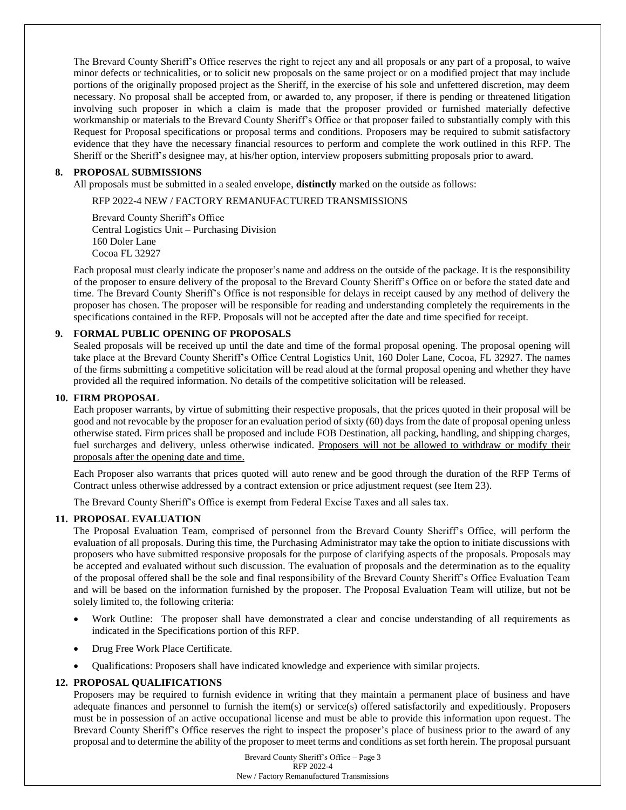The Brevard County Sheriff's Office reserves the right to reject any and all proposals or any part of a proposal, to waive minor defects or technicalities, or to solicit new proposals on the same project or on a modified project that may include portions of the originally proposed project as the Sheriff, in the exercise of his sole and unfettered discretion, may deem necessary. No proposal shall be accepted from, or awarded to, any proposer, if there is pending or threatened litigation involving such proposer in which a claim is made that the proposer provided or furnished materially defective workmanship or materials to the Brevard County Sheriff's Office or that proposer failed to substantially comply with this Request for Proposal specifications or proposal terms and conditions. Proposers may be required to submit satisfactory evidence that they have the necessary financial resources to perform and complete the work outlined in this RFP. The Sheriff or the Sheriff's designee may, at his/her option, interview proposers submitting proposals prior to award.

#### **8. PROPOSAL SUBMISSIONS**

All proposals must be submitted in a sealed envelope, **distinctly** marked on the outside as follows:

RFP 2022-4 NEW / FACTORY REMANUFACTURED TRANSMISSIONS

Brevard County Sheriff's Office Central Logistics Unit – Purchasing Division 160 Doler Lane Cocoa FL 32927

Each proposal must clearly indicate the proposer's name and address on the outside of the package. It is the responsibility of the proposer to ensure delivery of the proposal to the Brevard County Sheriff's Office on or before the stated date and time. The Brevard County Sheriff's Office is not responsible for delays in receipt caused by any method of delivery the proposer has chosen. The proposer will be responsible for reading and understanding completely the requirements in the specifications contained in the RFP. Proposals will not be accepted after the date and time specified for receipt.

#### **9. FORMAL PUBLIC OPENING OF PROPOSALS**

Sealed proposals will be received up until the date and time of the formal proposal opening. The proposal opening will take place at the Brevard County Sheriff's Office Central Logistics Unit, 160 Doler Lane, Cocoa, FL 32927. The names of the firms submitting a competitive solicitation will be read aloud at the formal proposal opening and whether they have provided all the required information. No details of the competitive solicitation will be released.

#### **10. FIRM PROPOSAL**

Each proposer warrants, by virtue of submitting their respective proposals, that the prices quoted in their proposal will be good and not revocable by the proposer for an evaluation period of sixty (60) days from the date of proposal opening unless otherwise stated. Firm prices shall be proposed and include FOB Destination, all packing, handling, and shipping charges, fuel surcharges and delivery, unless otherwise indicated. Proposers will not be allowed to withdraw or modify their proposals after the opening date and time.

Each Proposer also warrants that prices quoted will auto renew and be good through the duration of the RFP Terms of Contract unless otherwise addressed by a contract extension or price adjustment request (see Item 23).

The Brevard County Sheriff's Office is exempt from Federal Excise Taxes and all sales tax.

#### **11. PROPOSAL EVALUATION**

The Proposal Evaluation Team, comprised of personnel from the Brevard County Sheriff's Office, will perform the evaluation of all proposals. During this time, the Purchasing Administrator may take the option to initiate discussions with proposers who have submitted responsive proposals for the purpose of clarifying aspects of the proposals. Proposals may be accepted and evaluated without such discussion. The evaluation of proposals and the determination as to the equality of the proposal offered shall be the sole and final responsibility of the Brevard County Sheriff's Office Evaluation Team and will be based on the information furnished by the proposer. The Proposal Evaluation Team will utilize, but not be solely limited to, the following criteria:

- Work Outline: The proposer shall have demonstrated a clear and concise understanding of all requirements as indicated in the Specifications portion of this RFP.
- Drug Free Work Place Certificate.
- Qualifications: Proposers shall have indicated knowledge and experience with similar projects.

#### **12. PROPOSAL QUALIFICATIONS**

Proposers may be required to furnish evidence in writing that they maintain a permanent place of business and have adequate finances and personnel to furnish the item(s) or service(s) offered satisfactorily and expeditiously. Proposers must be in possession of an active occupational license and must be able to provide this information upon request. The Brevard County Sheriff's Office reserves the right to inspect the proposer's place of business prior to the award of any proposal and to determine the ability of the proposer to meet terms and conditions as set forth herein. The proposal pursuant

> Brevard County Sheriff's Office – Page 3 RFP 2022-4 New / Factory Remanufactured Transmissions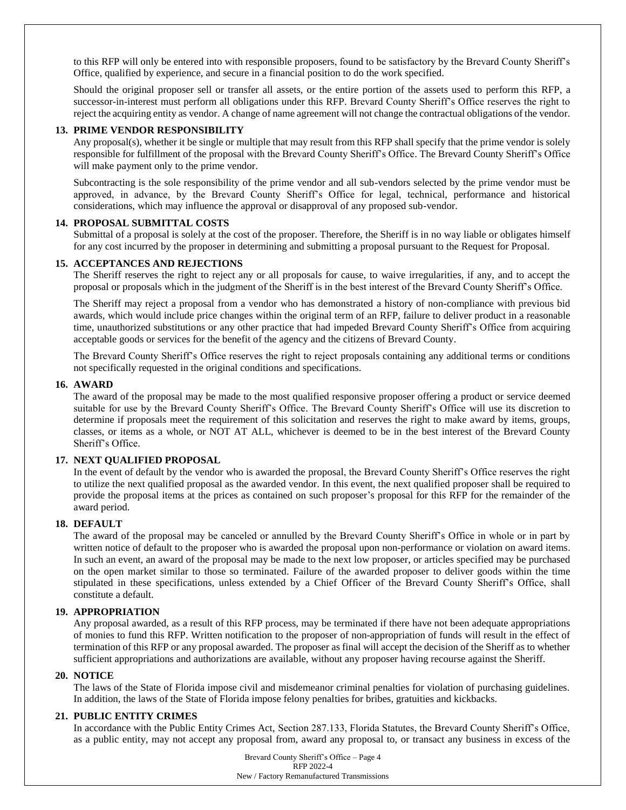to this RFP will only be entered into with responsible proposers, found to be satisfactory by the Brevard County Sheriff's Office, qualified by experience, and secure in a financial position to do the work specified.

Should the original proposer sell or transfer all assets, or the entire portion of the assets used to perform this RFP, a successor-in-interest must perform all obligations under this RFP. Brevard County Sheriff's Office reserves the right to reject the acquiring entity as vendor. A change of name agreement will not change the contractual obligations of the vendor.

#### **13. PRIME VENDOR RESPONSIBILITY**

Any proposal(s), whether it be single or multiple that may result from this RFP shall specify that the prime vendor is solely responsible for fulfillment of the proposal with the Brevard County Sheriff's Office. The Brevard County Sheriff's Office will make payment only to the prime vendor.

Subcontracting is the sole responsibility of the prime vendor and all sub-vendors selected by the prime vendor must be approved, in advance, by the Brevard County Sheriff's Office for legal, technical, performance and historical considerations, which may influence the approval or disapproval of any proposed sub-vendor.

#### **14. PROPOSAL SUBMITTAL COSTS**

Submittal of a proposal is solely at the cost of the proposer. Therefore, the Sheriff is in no way liable or obligates himself for any cost incurred by the proposer in determining and submitting a proposal pursuant to the Request for Proposal.

#### **15. ACCEPTANCES AND REJECTIONS**

The Sheriff reserves the right to reject any or all proposals for cause, to waive irregularities, if any, and to accept the proposal or proposals which in the judgment of the Sheriff is in the best interest of the Brevard County Sheriff's Office.

The Sheriff may reject a proposal from a vendor who has demonstrated a history of non-compliance with previous bid awards, which would include price changes within the original term of an RFP, failure to deliver product in a reasonable time, unauthorized substitutions or any other practice that had impeded Brevard County Sheriff's Office from acquiring acceptable goods or services for the benefit of the agency and the citizens of Brevard County.

The Brevard County Sheriff's Office reserves the right to reject proposals containing any additional terms or conditions not specifically requested in the original conditions and specifications.

#### **16. AWARD**

The award of the proposal may be made to the most qualified responsive proposer offering a product or service deemed suitable for use by the Brevard County Sheriff's Office. The Brevard County Sheriff's Office will use its discretion to determine if proposals meet the requirement of this solicitation and reserves the right to make award by items, groups, classes, or items as a whole, or NOT AT ALL, whichever is deemed to be in the best interest of the Brevard County Sheriff's Office.

#### **17. NEXT QUALIFIED PROPOSAL**

In the event of default by the vendor who is awarded the proposal, the Brevard County Sheriff's Office reserves the right to utilize the next qualified proposal as the awarded vendor. In this event, the next qualified proposer shall be required to provide the proposal items at the prices as contained on such proposer's proposal for this RFP for the remainder of the award period.

#### **18. DEFAULT**

The award of the proposal may be canceled or annulled by the Brevard County Sheriff's Office in whole or in part by written notice of default to the proposer who is awarded the proposal upon non-performance or violation on award items. In such an event, an award of the proposal may be made to the next low proposer, or articles specified may be purchased on the open market similar to those so terminated. Failure of the awarded proposer to deliver goods within the time stipulated in these specifications, unless extended by a Chief Officer of the Brevard County Sheriff's Office, shall constitute a default.

### **19. APPROPRIATION**

Any proposal awarded, as a result of this RFP process, may be terminated if there have not been adequate appropriations of monies to fund this RFP. Written notification to the proposer of non-appropriation of funds will result in the effect of termination of this RFP or any proposal awarded. The proposer as final will accept the decision of the Sheriff as to whether sufficient appropriations and authorizations are available, without any proposer having recourse against the Sheriff.

#### **20. NOTICE**

The laws of the State of Florida impose civil and misdemeanor criminal penalties for violation of purchasing guidelines. In addition, the laws of the State of Florida impose felony penalties for bribes, gratuities and kickbacks.

#### **21. PUBLIC ENTITY CRIMES**

In accordance with the Public Entity Crimes Act, Section 287.133, Florida Statutes, the Brevard County Sheriff's Office, as a public entity, may not accept any proposal from, award any proposal to, or transact any business in excess of the

> Brevard County Sheriff's Office – Page 4 RFP 2022-4 New / Factory Remanufactured Transmissions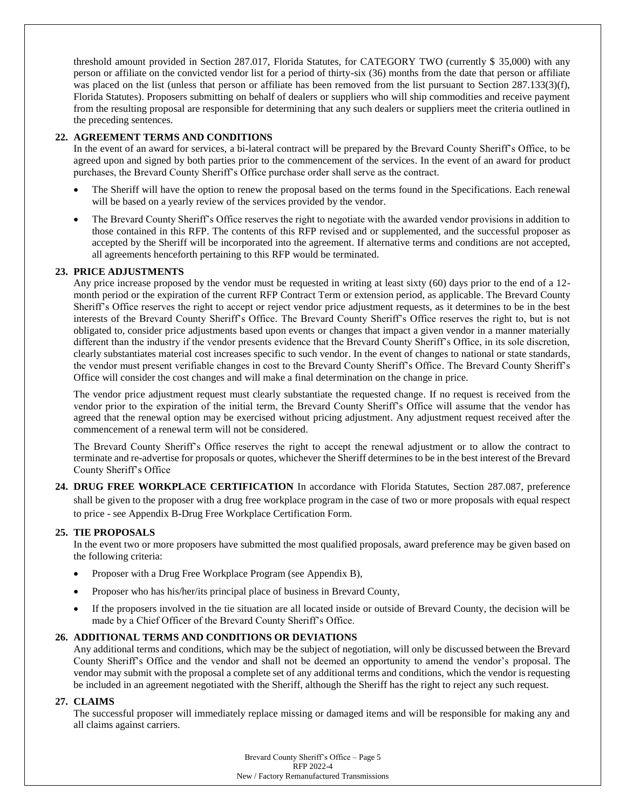threshold amount provided in Section 287.017, Florida Statutes, for CATEGORY TWO (currently \$ 35,000) with any person or affiliate on the convicted vendor list for a period of thirty-six (36) months from the date that person or affiliate was placed on the list (unless that person or affiliate has been removed from the list pursuant to Section 287.133(3)(f), Florida Statutes). Proposers submitting on behalf of dealers or suppliers who will ship commodities and receive payment from the resulting proposal are responsible for determining that any such dealers or suppliers meet the criteria outlined in the preceding sentences.

# **22. AGREEMENT TERMS AND CONDITIONS**

In the event of an award for services, a bi-lateral contract will be prepared by the Brevard County Sheriff's Office, to be agreed upon and signed by both parties prior to the commencement of the services. In the event of an award for product purchases, the Brevard County Sheriff's Office purchase order shall serve as the contract.

- The Sheriff will have the option to renew the proposal based on the terms found in the Specifications. Each renewal will be based on a yearly review of the services provided by the vendor.
- The Brevard County Sheriff's Office reserves the right to negotiate with the awarded vendor provisions in addition to those contained in this RFP. The contents of this RFP revised and or supplemented, and the successful proposer as accepted by the Sheriff will be incorporated into the agreement. If alternative terms and conditions are not accepted, all agreements henceforth pertaining to this RFP would be terminated.

# **23. PRICE ADJUSTMENTS**

Any price increase proposed by the vendor must be requested in writing at least sixty (60) days prior to the end of a 12 month period or the expiration of the current RFP Contract Term or extension period, as applicable. The Brevard County Sheriff's Office reserves the right to accept or reject vendor price adjustment requests, as it determines to be in the best interests of the Brevard County Sheriff's Office. The Brevard County Sheriff's Office reserves the right to, but is not obligated to, consider price adjustments based upon events or changes that impact a given vendor in a manner materially different than the industry if the vendor presents evidence that the Brevard County Sheriff's Office, in its sole discretion, clearly substantiates material cost increases specific to such vendor. In the event of changes to national or state standards, the vendor must present verifiable changes in cost to the Brevard County Sheriff's Office. The Brevard County Sheriff's Office will consider the cost changes and will make a final determination on the change in price.

The vendor price adjustment request must clearly substantiate the requested change. If no request is received from the vendor prior to the expiration of the initial term, the Brevard County Sheriff's Office will assume that the vendor has agreed that the renewal option may be exercised without pricing adjustment. Any adjustment request received after the commencement of a renewal term will not be considered.

The Brevard County Sheriff's Office reserves the right to accept the renewal adjustment or to allow the contract to terminate and re-advertise for proposals or quotes, whichever the Sheriff determines to be in the best interest of the Brevard County Sheriff's Office

**24. DRUG FREE WORKPLACE CERTIFICATION** In accordance with Florida Statutes, Section 287.087, preference shall be given to the proposer with a drug free workplace program in the case of two or more proposals with equal respect to price - see Appendix B-Drug Free Workplace Certification Form.

## **25. TIE PROPOSALS**

In the event two or more proposers have submitted the most qualified proposals, award preference may be given based on the following criteria:

- Proposer with a Drug Free Workplace Program (see Appendix B),
- Proposer who has his/her/its principal place of business in Brevard County,
- If the proposers involved in the tie situation are all located inside or outside of Brevard County, the decision will be made by a Chief Officer of the Brevard County Sheriff's Office.

## **26. ADDITIONAL TERMS AND CONDITIONS OR DEVIATIONS**

Any additional terms and conditions, which may be the subject of negotiation, will only be discussed between the Brevard County Sheriff's Office and the vendor and shall not be deemed an opportunity to amend the vendor's proposal. The vendor may submit with the proposal a complete set of any additional terms and conditions, which the vendor is requesting be included in an agreement negotiated with the Sheriff, although the Sheriff has the right to reject any such request.

## **27. CLAIMS**

The successful proposer will immediately replace missing or damaged items and will be responsible for making any and all claims against carriers.

> Brevard County Sheriff's Office – Page 5 RFP 2022-4 New / Factory Remanufactured Transmissions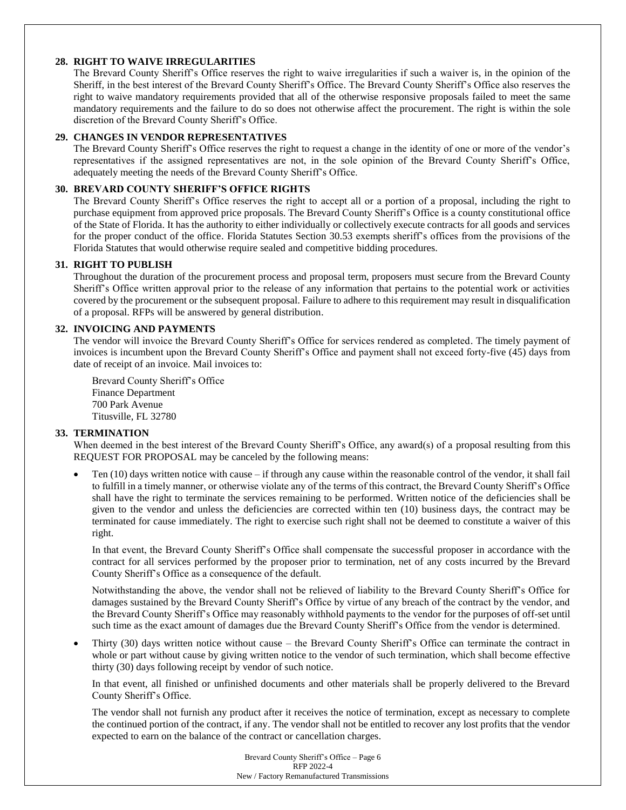# **28. RIGHT TO WAIVE IRREGULARITIES**

The Brevard County Sheriff's Office reserves the right to waive irregularities if such a waiver is, in the opinion of the Sheriff, in the best interest of the Brevard County Sheriff's Office. The Brevard County Sheriff's Office also reserves the right to waive mandatory requirements provided that all of the otherwise responsive proposals failed to meet the same mandatory requirements and the failure to do so does not otherwise affect the procurement. The right is within the sole discretion of the Brevard County Sheriff's Office.

# **29. CHANGES IN VENDOR REPRESENTATIVES**

The Brevard County Sheriff's Office reserves the right to request a change in the identity of one or more of the vendor's representatives if the assigned representatives are not, in the sole opinion of the Brevard County Sheriff's Office, adequately meeting the needs of the Brevard County Sheriff's Office.

# **30. BREVARD COUNTY SHERIFF'S OFFICE RIGHTS**

The Brevard County Sheriff's Office reserves the right to accept all or a portion of a proposal, including the right to purchase equipment from approved price proposals. The Brevard County Sheriff's Office is a county constitutional office of the State of Florida. It has the authority to either individually or collectively execute contracts for all goods and services for the proper conduct of the office. Florida Statutes Section 30.53 exempts sheriff's offices from the provisions of the Florida Statutes that would otherwise require sealed and competitive bidding procedures.

# **31. RIGHT TO PUBLISH**

Throughout the duration of the procurement process and proposal term, proposers must secure from the Brevard County Sheriff's Office written approval prior to the release of any information that pertains to the potential work or activities covered by the procurement or the subsequent proposal. Failure to adhere to this requirement may result in disqualification of a proposal. RFPs will be answered by general distribution.

## **32. INVOICING AND PAYMENTS**

The vendor will invoice the Brevard County Sheriff's Office for services rendered as completed. The timely payment of invoices is incumbent upon the Brevard County Sheriff's Office and payment shall not exceed forty-five (45) days from date of receipt of an invoice. Mail invoices to:

Brevard County Sheriff's Office Finance Department 700 Park Avenue Titusville, FL 32780

# **33. TERMINATION**

When deemed in the best interest of the Brevard County Sheriff's Office, any award(s) of a proposal resulting from this REQUEST FOR PROPOSAL may be canceled by the following means:

Ten  $(10)$  days written notice with cause – if through any cause within the reasonable control of the vendor, it shall fail to fulfill in a timely manner, or otherwise violate any of the terms of this contract, the Brevard County Sheriff's Office shall have the right to terminate the services remaining to be performed. Written notice of the deficiencies shall be given to the vendor and unless the deficiencies are corrected within ten (10) business days, the contract may be terminated for cause immediately. The right to exercise such right shall not be deemed to constitute a waiver of this right.

In that event, the Brevard County Sheriff's Office shall compensate the successful proposer in accordance with the contract for all services performed by the proposer prior to termination, net of any costs incurred by the Brevard County Sheriff's Office as a consequence of the default.

Notwithstanding the above, the vendor shall not be relieved of liability to the Brevard County Sheriff's Office for damages sustained by the Brevard County Sheriff's Office by virtue of any breach of the contract by the vendor, and the Brevard County Sheriff's Office may reasonably withhold payments to the vendor for the purposes of off-set until such time as the exact amount of damages due the Brevard County Sheriff's Office from the vendor is determined.

• Thirty (30) days written notice without cause – the Brevard County Sheriff's Office can terminate the contract in whole or part without cause by giving written notice to the vendor of such termination, which shall become effective thirty (30) days following receipt by vendor of such notice.

In that event, all finished or unfinished documents and other materials shall be properly delivered to the Brevard County Sheriff's Office.

The vendor shall not furnish any product after it receives the notice of termination, except as necessary to complete the continued portion of the contract, if any. The vendor shall not be entitled to recover any lost profits that the vendor expected to earn on the balance of the contract or cancellation charges.

> Brevard County Sheriff's Office – Page 6 RFP 2022-4 New / Factory Remanufactured Transmissions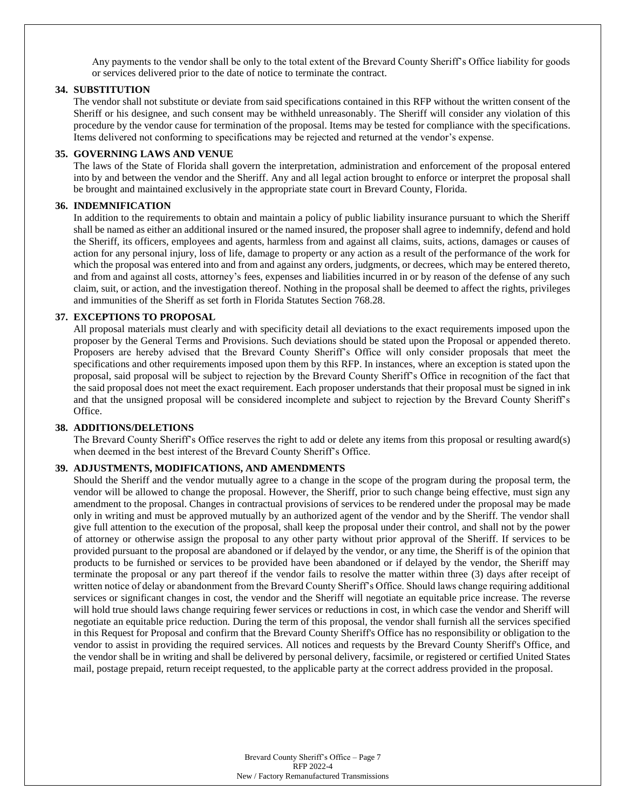Any payments to the vendor shall be only to the total extent of the Brevard County Sheriff's Office liability for goods or services delivered prior to the date of notice to terminate the contract.

# **34. SUBSTITUTION**

The vendor shall not substitute or deviate from said specifications contained in this RFP without the written consent of the Sheriff or his designee, and such consent may be withheld unreasonably. The Sheriff will consider any violation of this procedure by the vendor cause for termination of the proposal. Items may be tested for compliance with the specifications. Items delivered not conforming to specifications may be rejected and returned at the vendor's expense.

#### **35. GOVERNING LAWS AND VENUE**

The laws of the State of Florida shall govern the interpretation, administration and enforcement of the proposal entered into by and between the vendor and the Sheriff. Any and all legal action brought to enforce or interpret the proposal shall be brought and maintained exclusively in the appropriate state court in Brevard County, Florida.

#### **36. INDEMNIFICATION**

In addition to the requirements to obtain and maintain a policy of public liability insurance pursuant to which the Sheriff shall be named as either an additional insured or the named insured, the proposer shall agree to indemnify, defend and hold the Sheriff, its officers, employees and agents, harmless from and against all claims, suits, actions, damages or causes of action for any personal injury, loss of life, damage to property or any action as a result of the performance of the work for which the proposal was entered into and from and against any orders, judgments, or decrees, which may be entered thereto, and from and against all costs, attorney's fees, expenses and liabilities incurred in or by reason of the defense of any such claim, suit, or action, and the investigation thereof. Nothing in the proposal shall be deemed to affect the rights, privileges and immunities of the Sheriff as set forth in Florida Statutes Section 768.28.

#### **37. EXCEPTIONS TO PROPOSAL**

All proposal materials must clearly and with specificity detail all deviations to the exact requirements imposed upon the proposer by the General Terms and Provisions. Such deviations should be stated upon the Proposal or appended thereto. Proposers are hereby advised that the Brevard County Sheriff's Office will only consider proposals that meet the specifications and other requirements imposed upon them by this RFP. In instances, where an exception is stated upon the proposal, said proposal will be subject to rejection by the Brevard County Sheriff's Office in recognition of the fact that the said proposal does not meet the exact requirement. Each proposer understands that their proposal must be signed in ink and that the unsigned proposal will be considered incomplete and subject to rejection by the Brevard County Sheriff's Office.

#### **38. ADDITIONS/DELETIONS**

The Brevard County Sheriff's Office reserves the right to add or delete any items from this proposal or resulting award(s) when deemed in the best interest of the Brevard County Sheriff's Office.

#### **39. ADJUSTMENTS, MODIFICATIONS, AND AMENDMENTS**

Should the Sheriff and the vendor mutually agree to a change in the scope of the program during the proposal term, the vendor will be allowed to change the proposal. However, the Sheriff, prior to such change being effective, must sign any amendment to the proposal. Changes in contractual provisions of services to be rendered under the proposal may be made only in writing and must be approved mutually by an authorized agent of the vendor and by the Sheriff. The vendor shall give full attention to the execution of the proposal, shall keep the proposal under their control, and shall not by the power of attorney or otherwise assign the proposal to any other party without prior approval of the Sheriff. If services to be provided pursuant to the proposal are abandoned or if delayed by the vendor, or any time, the Sheriff is of the opinion that products to be furnished or services to be provided have been abandoned or if delayed by the vendor, the Sheriff may terminate the proposal or any part thereof if the vendor fails to resolve the matter within three (3) days after receipt of written notice of delay or abandonment from the Brevard County Sheriff's Office. Should laws change requiring additional services or significant changes in cost, the vendor and the Sheriff will negotiate an equitable price increase. The reverse will hold true should laws change requiring fewer services or reductions in cost, in which case the vendor and Sheriff will negotiate an equitable price reduction. During the term of this proposal, the vendor shall furnish all the services specified in this Request for Proposal and confirm that the Brevard County Sheriff's Office has no responsibility or obligation to the vendor to assist in providing the required services. All notices and requests by the Brevard County Sheriff's Office, and the vendor shall be in writing and shall be delivered by personal delivery, facsimile, or registered or certified United States mail, postage prepaid, return receipt requested, to the applicable party at the correct address provided in the proposal.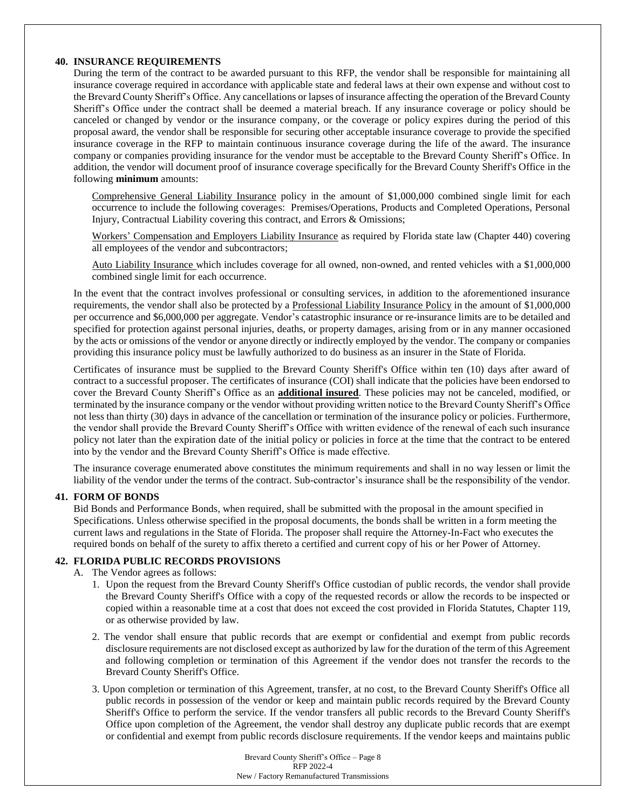#### **40. INSURANCE REQUIREMENTS**

During the term of the contract to be awarded pursuant to this RFP, the vendor shall be responsible for maintaining all insurance coverage required in accordance with applicable state and federal laws at their own expense and without cost to the Brevard County Sheriff's Office. Any cancellations or lapses of insurance affecting the operation of the Brevard County Sheriff's Office under the contract shall be deemed a material breach. If any insurance coverage or policy should be canceled or changed by vendor or the insurance company, or the coverage or policy expires during the period of this proposal award, the vendor shall be responsible for securing other acceptable insurance coverage to provide the specified insurance coverage in the RFP to maintain continuous insurance coverage during the life of the award. The insurance company or companies providing insurance for the vendor must be acceptable to the Brevard County Sheriff's Office. In addition, the vendor will document proof of insurance coverage specifically for the Brevard County Sheriff's Office in the following **minimum** amounts:

Comprehensive General Liability Insurance policy in the amount of \$1,000,000 combined single limit for each occurrence to include the following coverages: Premises/Operations, Products and Completed Operations, Personal Injury, Contractual Liability covering this contract, and Errors & Omissions;

Workers' Compensation and Employers Liability Insurance as required by Florida state law (Chapter 440) covering all employees of the vendor and subcontractors;

Auto Liability Insurance which includes coverage for all owned, non-owned, and rented vehicles with a \$1,000,000 combined single limit for each occurrence.

In the event that the contract involves professional or consulting services, in addition to the aforementioned insurance requirements, the vendor shall also be protected by a Professional Liability Insurance Policy in the amount of \$1,000,000 per occurrence and \$6,000,000 per aggregate. Vendor's catastrophic insurance or re-insurance limits are to be detailed and specified for protection against personal injuries, deaths, or property damages, arising from or in any manner occasioned by the acts or omissions of the vendor or anyone directly or indirectly employed by the vendor. The company or companies providing this insurance policy must be lawfully authorized to do business as an insurer in the State of Florida.

Certificates of insurance must be supplied to the Brevard County Sheriff's Office within ten (10) days after award of contract to a successful proposer. The certificates of insurance (COI) shall indicate that the policies have been endorsed to cover the Brevard County Sheriff's Office as an **additional insured**. These policies may not be canceled, modified, or terminated by the insurance company or the vendor without providing written notice to the Brevard County Sheriff's Office not less than thirty (30) days in advance of the cancellation or termination of the insurance policy or policies. Furthermore, the vendor shall provide the Brevard County Sheriff's Office with written evidence of the renewal of each such insurance policy not later than the expiration date of the initial policy or policies in force at the time that the contract to be entered into by the vendor and the Brevard County Sheriff's Office is made effective.

The insurance coverage enumerated above constitutes the minimum requirements and shall in no way lessen or limit the liability of the vendor under the terms of the contract. Sub-contractor's insurance shall be the responsibility of the vendor.

## **41. FORM OF BONDS**

Bid Bonds and Performance Bonds, when required, shall be submitted with the proposal in the amount specified in Specifications. Unless otherwise specified in the proposal documents, the bonds shall be written in a form meeting the current laws and regulations in the State of Florida. The proposer shall require the Attorney-In-Fact who executes the required bonds on behalf of the surety to affix thereto a certified and current copy of his or her Power of Attorney.

#### **42. FLORIDA PUBLIC RECORDS PROVISIONS**

- A. The Vendor agrees as follows:
	- 1. Upon the request from the Brevard County Sheriff's Office custodian of public records, the vendor shall provide the Brevard County Sheriff's Office with a copy of the requested records or allow the records to be inspected or copied within a reasonable time at a cost that does not exceed the cost provided in Florida Statutes, Chapter 119, or as otherwise provided by law.
	- 2. The vendor shall ensure that public records that are exempt or confidential and exempt from public records disclosure requirements are not disclosed except as authorized by law for the duration of the term of this Agreement and following completion or termination of this Agreement if the vendor does not transfer the records to the Brevard County Sheriff's Office.
	- 3. Upon completion or termination of this Agreement, transfer, at no cost, to the Brevard County Sheriff's Office all public records in possession of the vendor or keep and maintain public records required by the Brevard County Sheriff's Office to perform the service. If the vendor transfers all public records to the Brevard County Sheriff's Office upon completion of the Agreement, the vendor shall destroy any duplicate public records that are exempt or confidential and exempt from public records disclosure requirements. If the vendor keeps and maintains public

Brevard County Sheriff's Office – Page 8 RFP 2022-4 New / Factory Remanufactured Transmissions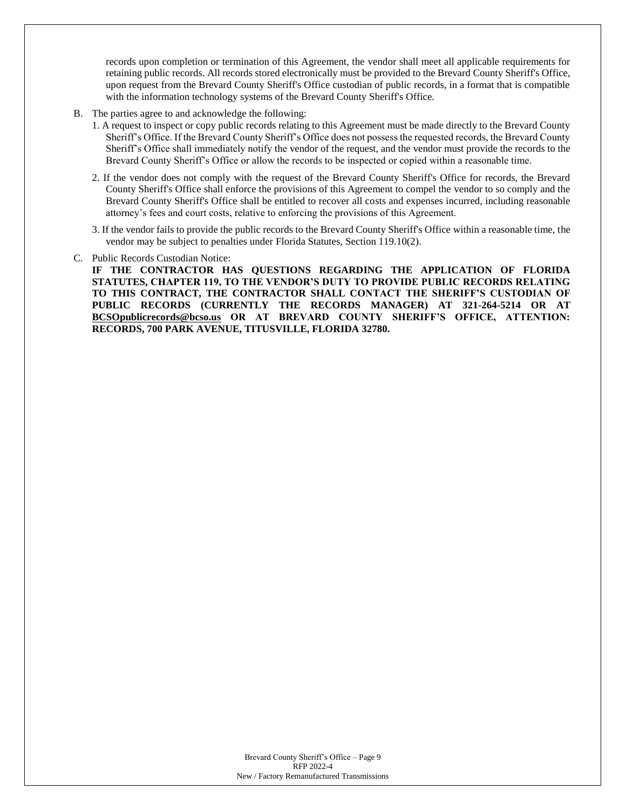records upon completion or termination of this Agreement, the vendor shall meet all applicable requirements for retaining public records. All records stored electronically must be provided to the Brevard County Sheriff's Office, upon request from the Brevard County Sheriff's Office custodian of public records, in a format that is compatible with the information technology systems of the Brevard County Sheriff's Office.

- B. The parties agree to and acknowledge the following:
	- 1. A request to inspect or copy public records relating to this Agreement must be made directly to the Brevard County Sheriff's Office. If the Brevard County Sheriff's Office does not possess the requested records, the Brevard County Sheriff's Office shall immediately notify the vendor of the request, and the vendor must provide the records to the Brevard County Sheriff's Office or allow the records to be inspected or copied within a reasonable time.
	- 2. If the vendor does not comply with the request of the Brevard County Sheriff's Office for records, the Brevard County Sheriff's Office shall enforce the provisions of this Agreement to compel the vendor to so comply and the Brevard County Sheriff's Office shall be entitled to recover all costs and expenses incurred, including reasonable attorney's fees and court costs, relative to enforcing the provisions of this Agreement.
	- 3. If the vendor fails to provide the public records to the Brevard County Sheriff's Office within a reasonable time, the vendor may be subject to penalties under Florida Statutes, Section 119.10(2).
- C. Public Records Custodian Notice:

**IF THE CONTRACTOR HAS QUESTIONS REGARDING THE APPLICATION OF FLORIDA STATUTES, CHAPTER 119, TO THE VENDOR'S DUTY TO PROVIDE PUBLIC RECORDS RELATING TO THIS CONTRACT, THE CONTRACTOR SHALL CONTACT THE SHERIFF'S CUSTODIAN OF PUBLIC RECORDS (CURRENTLY THE RECORDS MANAGER) AT 321-264-5214 OR AT BCSOpublicrecords@bcso.us OR AT BREVARD COUNTY SHERIFF'S OFFICE, ATTENTION: RECORDS, 700 PARK AVENUE, TITUSVILLE, FLORIDA 32780.**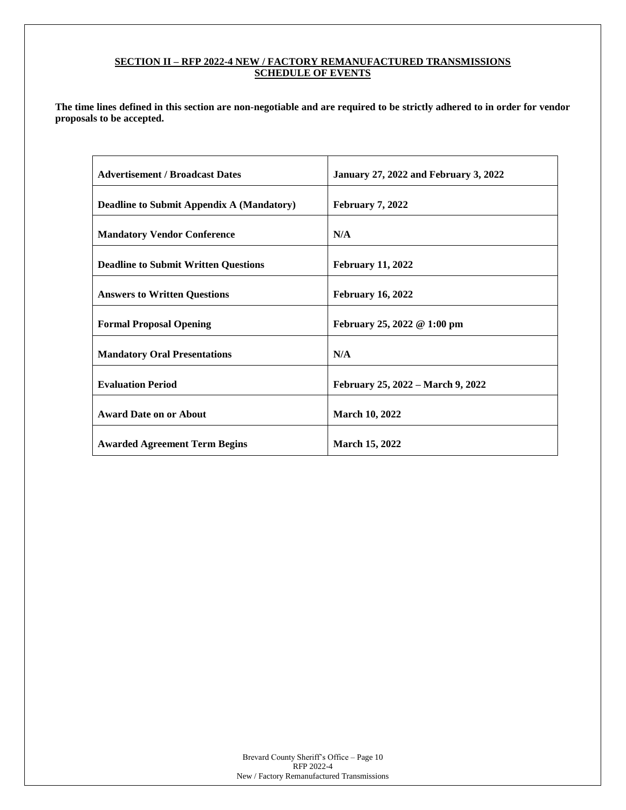# **SECTION II – RFP 2022-4 NEW / FACTORY REMANUFACTURED TRANSMISSIONS SCHEDULE OF EVENTS**

**The time lines defined in this section are non-negotiable and are required to be strictly adhered to in order for vendor proposals to be accepted.**

| <b>Advertisement / Broadcast Dates</b>           | <b>January 27, 2022 and February 3, 2022</b> |
|--------------------------------------------------|----------------------------------------------|
| <b>Deadline to Submit Appendix A (Mandatory)</b> | <b>February 7, 2022</b>                      |
| <b>Mandatory Vendor Conference</b>               | N/A                                          |
| <b>Deadline to Submit Written Questions</b>      | <b>February 11, 2022</b>                     |
| <b>Answers to Written Questions</b>              | <b>February 16, 2022</b>                     |
| <b>Formal Proposal Opening</b>                   | February 25, 2022 @ 1:00 pm                  |
| <b>Mandatory Oral Presentations</b>              | N/A                                          |
| <b>Evaluation Period</b>                         | February 25, 2022 – March 9, 2022            |
| <b>Award Date on or About</b>                    | <b>March 10, 2022</b>                        |
| <b>Awarded Agreement Term Begins</b>             | <b>March 15, 2022</b>                        |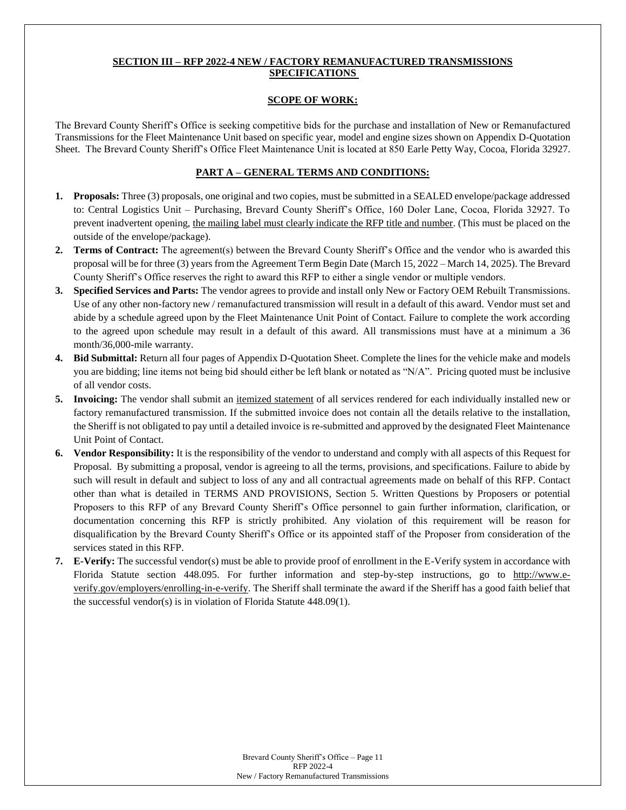# **SECTION III – RFP 2022-4 NEW / FACTORY REMANUFACTURED TRANSMISSIONS SPECIFICATIONS**

#### **SCOPE OF WORK:**

The Brevard County Sheriff's Office is seeking competitive bids for the purchase and installation of New or Remanufactured Transmissions for the Fleet Maintenance Unit based on specific year, model and engine sizes shown on Appendix D-Quotation Sheet. The Brevard County Sheriff's Office Fleet Maintenance Unit is located at 850 Earle Petty Way, Cocoa, Florida 32927.

# **PART A – GENERAL TERMS AND CONDITIONS:**

- **1. Proposals:** Three (3) proposals, one original and two copies, must be submitted in a SEALED envelope/package addressed to: Central Logistics Unit – Purchasing, Brevard County Sheriff's Office, 160 Doler Lane, Cocoa, Florida 32927. To prevent inadvertent opening, the mailing label must clearly indicate the RFP title and number. (This must be placed on the outside of the envelope/package).
- **2. Terms of Contract:** The agreement(s) between the Brevard County Sheriff's Office and the vendor who is awarded this proposal will be for three (3) years from the Agreement Term Begin Date (March 15, 2022 – March 14, 2025). The Brevard County Sheriff's Office reserves the right to award this RFP to either a single vendor or multiple vendors.
- **3. Specified Services and Parts:** The vendor agrees to provide and install only New or Factory OEM Rebuilt Transmissions. Use of any other non-factory new / remanufactured transmission will result in a default of this award. Vendor must set and abide by a schedule agreed upon by the Fleet Maintenance Unit Point of Contact. Failure to complete the work according to the agreed upon schedule may result in a default of this award. All transmissions must have at a minimum a 36 month/36,000-mile warranty.
- **4. Bid Submittal:** Return all four pages of Appendix D-Quotation Sheet. Complete the lines for the vehicle make and models you are bidding; line items not being bid should either be left blank or notated as "N/A". Pricing quoted must be inclusive of all vendor costs.
- **5. Invoicing:** The vendor shall submit an itemized statement of all services rendered for each individually installed new or factory remanufactured transmission. If the submitted invoice does not contain all the details relative to the installation, the Sheriff is not obligated to pay until a detailed invoice is re-submitted and approved by the designated Fleet Maintenance Unit Point of Contact.
- **6. Vendor Responsibility:** It is the responsibility of the vendor to understand and comply with all aspects of this Request for Proposal. By submitting a proposal, vendor is agreeing to all the terms, provisions, and specifications. Failure to abide by such will result in default and subject to loss of any and all contractual agreements made on behalf of this RFP. Contact other than what is detailed in TERMS AND PROVISIONS, Section 5. Written Questions by Proposers or potential Proposers to this RFP of any Brevard County Sheriff's Office personnel to gain further information, clarification, or documentation concerning this RFP is strictly prohibited. Any violation of this requirement will be reason for disqualification by the Brevard County Sheriff's Office or its appointed staff of the Proposer from consideration of the services stated in this RFP.
- **7. E-Verify:** The successful vendor(s) must be able to provide proof of enrollment in the E-Verify system in accordance with Florida Statute section 448.095. For further information and step-by-step instructions, go to http://www.everify.gov/employers/enrolling-in-e-verify. The Sheriff shall terminate the award if the Sheriff has a good faith belief that the successful vendor(s) is in violation of Florida Statute 448.09(1).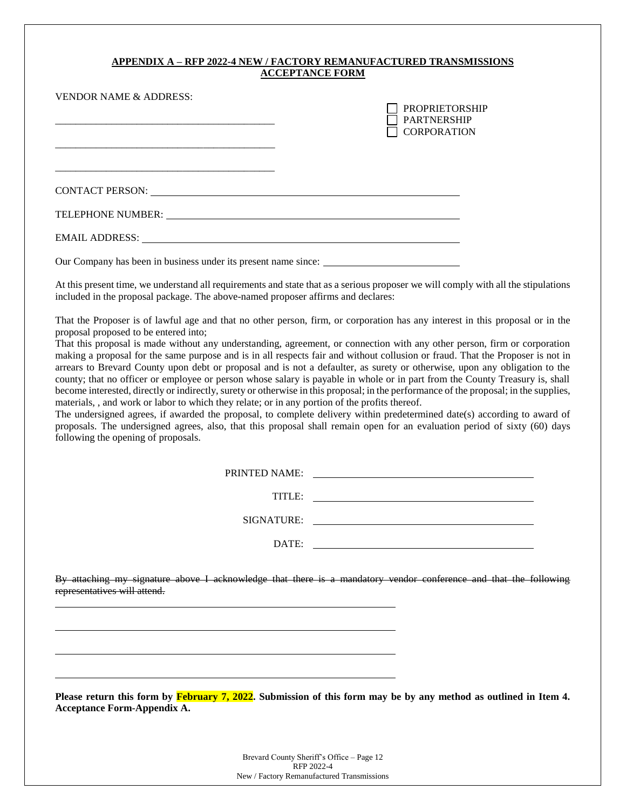# **APPENDIX A – RFP 2022-4 NEW / FACTORY REMANUFACTURED TRANSMISSIONS ACCEPTANCE FORM**

| <b>VENDOR NAME &amp; ADDRESS:</b>                                                                                                                                                                                              | <b>PROPRIETORSHIP</b><br><b>PARTNERSHIP</b><br><b>CORPORATION</b> |
|--------------------------------------------------------------------------------------------------------------------------------------------------------------------------------------------------------------------------------|-------------------------------------------------------------------|
| CONTACT PERSON: University of the CONTACT PERSON:                                                                                                                                                                              |                                                                   |
| TELEPHONE NUMBER: University of the state of the state of the state of the state of the state of the state of the state of the state of the state of the state of the state of the state of the state of the state of the stat |                                                                   |
| EMAIL ADDRESS: University of the SMAIL ADDRESS:                                                                                                                                                                                |                                                                   |

Our Company has been in business under its present name since:

At this present time, we understand all requirements and state that as a serious proposer we will comply with all the stipulations included in the proposal package. The above-named proposer affirms and declares:

That the Proposer is of lawful age and that no other person, firm, or corporation has any interest in this proposal or in the proposal proposed to be entered into;

That this proposal is made without any understanding, agreement, or connection with any other person, firm or corporation making a proposal for the same purpose and is in all respects fair and without collusion or fraud. That the Proposer is not in arrears to Brevard County upon debt or proposal and is not a defaulter, as surety or otherwise, upon any obligation to the county; that no officer or employee or person whose salary is payable in whole or in part from the County Treasury is, shall become interested, directly or indirectly, surety or otherwise in this proposal; in the performance of the proposal; in the supplies, materials, , and work or labor to which they relate; or in any portion of the profits thereof.

The undersigned agrees, if awarded the proposal, to complete delivery within predetermined date(s) according to award of proposals. The undersigned agrees, also, that this proposal shall remain open for an evaluation period of sixty (60) days following the opening of proposals.

PRINTED NAME:

TITLE: TITLE:

SIGNATURE:

DATE:

By attaching my signature above I acknowledge that there is a mandatory vendor conference and that the following representatives will attend.

**Please return this form by February 7, 2022. Submission of this form may be by any method as outlined in Item 4. Acceptance Form-Appendix A.**

> Brevard County Sheriff's Office – Page 12 RFP 2022-4 New / Factory Remanufactured Transmissions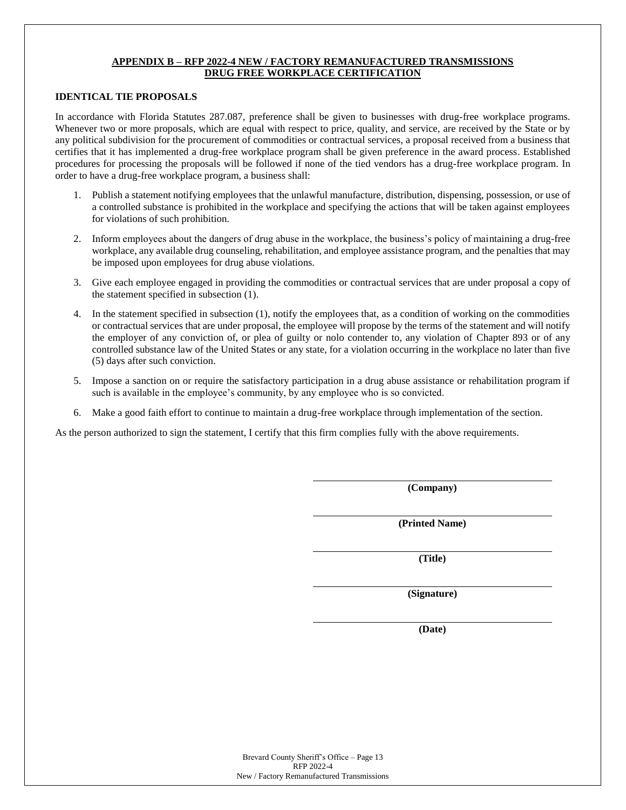## **APPENDIX B – RFP 2022-4 NEW / FACTORY REMANUFACTURED TRANSMISSIONS DRUG FREE WORKPLACE CERTIFICATION**

#### **IDENTICAL TIE PROPOSALS**

In accordance with Florida Statutes 287.087, preference shall be given to businesses with drug-free workplace programs. Whenever two or more proposals, which are equal with respect to price, quality, and service, are received by the State or by any political subdivision for the procurement of commodities or contractual services, a proposal received from a business that certifies that it has implemented a drug-free workplace program shall be given preference in the award process. Established procedures for processing the proposals will be followed if none of the tied vendors has a drug-free workplace program. In order to have a drug-free workplace program, a business shall:

- 1. Publish a statement notifying employees that the unlawful manufacture, distribution, dispensing, possession, or use of a controlled substance is prohibited in the workplace and specifying the actions that will be taken against employees for violations of such prohibition.
- 2. Inform employees about the dangers of drug abuse in the workplace, the business's policy of maintaining a drug-free workplace, any available drug counseling, rehabilitation, and employee assistance program, and the penalties that may be imposed upon employees for drug abuse violations.
- 3. Give each employee engaged in providing the commodities or contractual services that are under proposal a copy of the statement specified in subsection (1).
- 4. In the statement specified in subsection (1), notify the employees that, as a condition of working on the commodities or contractual services that are under proposal, the employee will propose by the terms of the statement and will notify the employer of any conviction of, or plea of guilty or nolo contender to, any violation of Chapter 893 or of any controlled substance law of the United States or any state, for a violation occurring in the workplace no later than five (5) days after such conviction.
- 5. Impose a sanction on or require the satisfactory participation in a drug abuse assistance or rehabilitation program if such is available in the employee's community, by any employee who is so convicted.
- 6. Make a good faith effort to continue to maintain a drug-free workplace through implementation of the section.

As the person authorized to sign the statement, I certify that this firm complies fully with the above requirements.

**(Company)**

**(Printed Name)**

**(Title)**

**(Signature)**

**(Date)**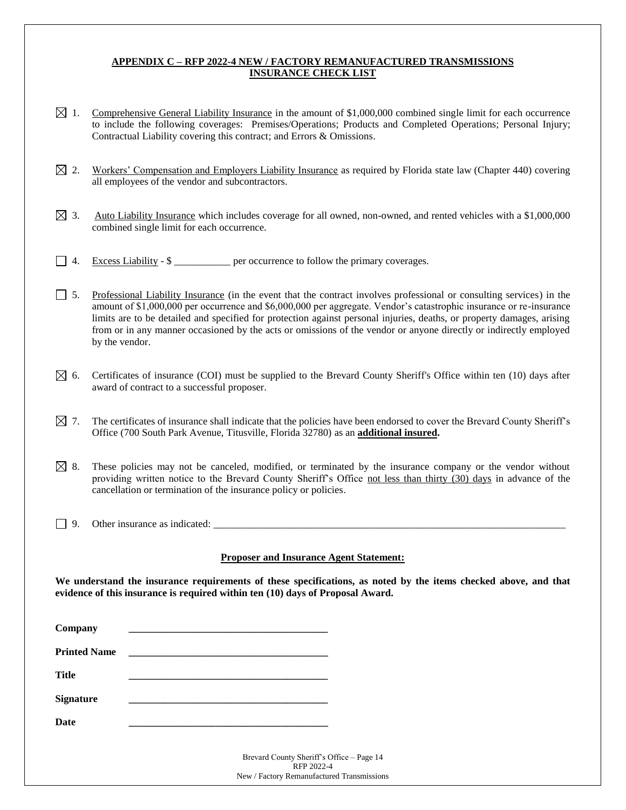# **APPENDIX C – RFP 2022-4 NEW / FACTORY REMANUFACTURED TRANSMISSIONS INSURANCE CHECK LIST**

- $\boxtimes$  1. Comprehensive General Liability Insurance in the amount of \$1,000,000 combined single limit for each occurrence to include the following coverages: Premises/Operations; Products and Completed Operations; Personal Injury; Contractual Liability covering this contract; and Errors & Omissions.
- $\boxtimes$  2. Workers' Compensation and Employers Liability Insurance as required by Florida state law (Chapter 440) covering all employees of the vendor and subcontractors.
- $\boxtimes$  3. Auto Liability Insurance which includes coverage for all owned, non-owned, and rented vehicles with a \$1,000,000 combined single limit for each occurrence.
- $\Box$  4. Excess Liability \$ \_\_\_\_\_\_\_\_\_\_\_ per occurrence to follow the primary coverages.
- 5. Professional Liability Insurance (in the event that the contract involves professional or consulting services) in the amount of \$1,000,000 per occurrence and \$6,000,000 per aggregate. Vendor's catastrophic insurance or re-insurance limits are to be detailed and specified for protection against personal injuries, deaths, or property damages, arising from or in any manner occasioned by the acts or omissions of the vendor or anyone directly or indirectly employed by the vendor.
- $\boxtimes$  6. Certificates of insurance (COI) must be supplied to the Brevard County Sheriff's Office within ten (10) days after award of contract to a successful proposer.
- $\boxtimes$  7. The certificates of insurance shall indicate that the policies have been endorsed to cover the Brevard County Sheriff's Office (700 South Park Avenue, Titusville, Florida 32780) as an **additional insured.**
- $\boxtimes$  8. These policies may not be canceled, modified, or terminated by the insurance company or the vendor without providing written notice to the Brevard County Sheriff's Office not less than thirty (30) days in advance of the cancellation or termination of the insurance policy or policies.
- $\Box$  9. Other insurance as indicated:

## **Proposer and Insurance Agent Statement:**

**We understand the insurance requirements of these specifications, as noted by the items checked above, and that evidence of this insurance is required within ten (10) days of Proposal Award.**

| Company             | <u> 1980 - An Dùbhlachd ann an Dùbhlachd ann an Dùbhlachd ann an Dùbhlachd ann an Dùbhlachd ann an Dùbhlachd ann an Dùbhlachd ann an Dùbhlachd ann an Dùbhlachd ann an Dùbhlachd ann an Dùbhlachd ann an Dùbhlachd ann an Dùbhla</u> |
|---------------------|--------------------------------------------------------------------------------------------------------------------------------------------------------------------------------------------------------------------------------------|
| <b>Printed Name</b> |                                                                                                                                                                                                                                      |
| <b>Title</b>        |                                                                                                                                                                                                                                      |
| <b>Signature</b>    | the control of the control of the control of the control of the control of the control of the control of the control of the control of the control of the control of the control of the control of the control of the control        |
| <b>Date</b>         |                                                                                                                                                                                                                                      |
|                     | Brevard County Sheriff's Office - Page 14<br>RFP 2022-4<br>New / Factory Remanufactured Transmissions                                                                                                                                |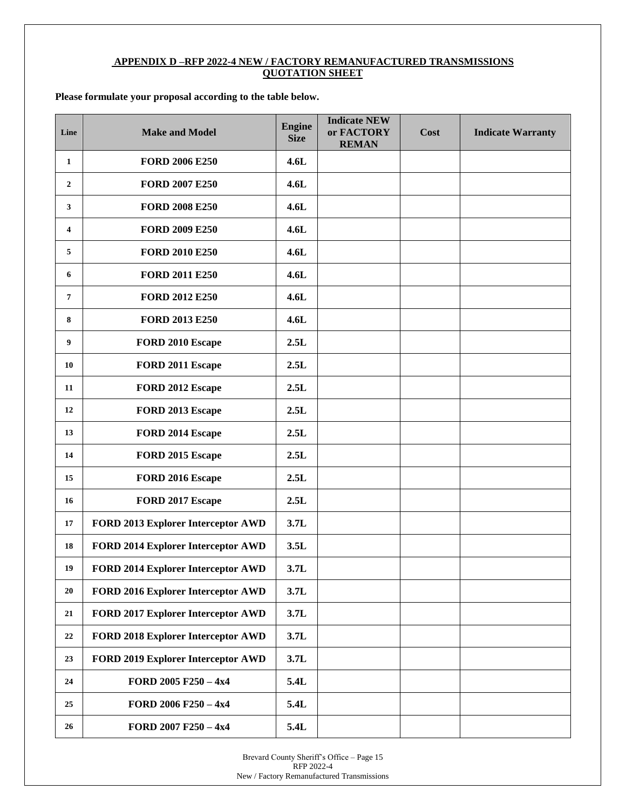## **APPENDIX D –RFP 2022-4 NEW / FACTORY REMANUFACTURED TRANSMISSIONS QUOTATION SHEET**

# **Please formulate your proposal according to the table below.**

| Line           | <b>Make and Model</b>                     | <b>Engine</b><br><b>Size</b> | <b>Indicate NEW</b><br>or FACTORY<br><b>REMAN</b> | Cost | <b>Indicate Warranty</b> |
|----------------|-------------------------------------------|------------------------------|---------------------------------------------------|------|--------------------------|
| $\mathbf{1}$   | <b>FORD 2006 E250</b>                     | 4.6L                         |                                                   |      |                          |
| $\overline{2}$ | <b>FORD 2007 E250</b>                     | 4.6L                         |                                                   |      |                          |
| 3              | <b>FORD 2008 E250</b>                     | 4.6L                         |                                                   |      |                          |
| 4              | <b>FORD 2009 E250</b>                     | 4.6L                         |                                                   |      |                          |
| 5              | <b>FORD 2010 E250</b>                     | 4.6L                         |                                                   |      |                          |
| 6              | <b>FORD 2011 E250</b>                     | 4.6L                         |                                                   |      |                          |
| $\overline{7}$ | <b>FORD 2012 E250</b>                     | 4.6L                         |                                                   |      |                          |
| 8              | <b>FORD 2013 E250</b>                     | 4.6L                         |                                                   |      |                          |
| 9              | FORD 2010 Escape                          | 2.5L                         |                                                   |      |                          |
| 10             | FORD 2011 Escape                          | 2.5L                         |                                                   |      |                          |
| 11             | FORD 2012 Escape                          | 2.5L                         |                                                   |      |                          |
| 12             | FORD 2013 Escape                          | 2.5L                         |                                                   |      |                          |
| 13             | FORD 2014 Escape                          | 2.5L                         |                                                   |      |                          |
| 14             | FORD 2015 Escape                          | 2.5L                         |                                                   |      |                          |
| 15             | FORD 2016 Escape                          | 2.5L                         |                                                   |      |                          |
| 16             | FORD 2017 Escape                          | 2.5L                         |                                                   |      |                          |
| 17             | FORD 2013 Explorer Interceptor AWD        | 3.7L                         |                                                   |      |                          |
| 18             | FORD 2014 Explorer Interceptor AWD        | 3.5L                         |                                                   |      |                          |
| 19             | FORD 2014 Explorer Interceptor AWD        | 3.7L                         |                                                   |      |                          |
| 20             | <b>FORD 2016 Explorer Interceptor AWD</b> | 3.7L                         |                                                   |      |                          |
| 21             | FORD 2017 Explorer Interceptor AWD        | 3.7L                         |                                                   |      |                          |
| 22             | FORD 2018 Explorer Interceptor AWD        | 3.7L                         |                                                   |      |                          |
| 23             | FORD 2019 Explorer Interceptor AWD        | 3.7L                         |                                                   |      |                          |
| 24             | FORD 2005 F250 - 4x4                      | 5.4L                         |                                                   |      |                          |
| 25             | FORD 2006 F250 - 4x4                      | 5.4L                         |                                                   |      |                          |
| 26             | FORD 2007 F250 - 4x4                      | 5.4L                         |                                                   |      |                          |

Brevard County Sheriff's Office – Page 15 RFP 2022-4 New / Factory Remanufactured Transmissions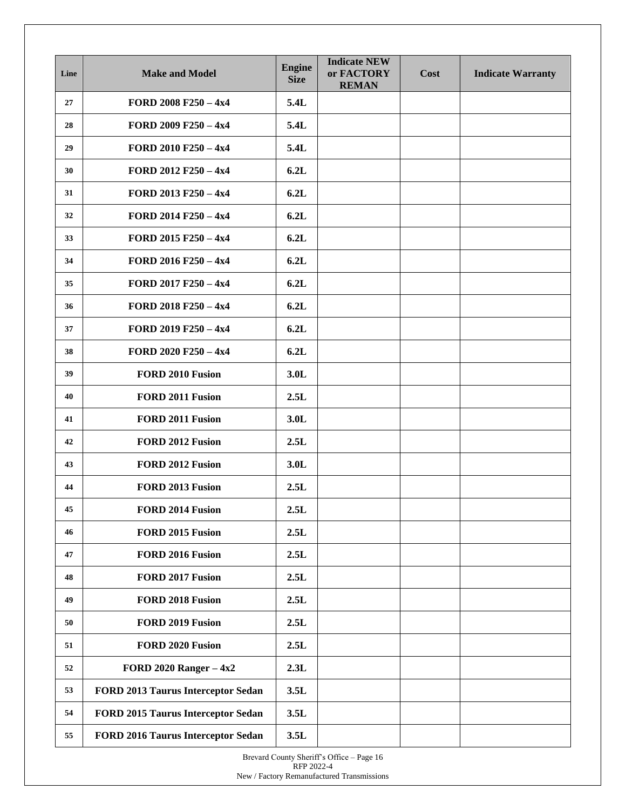| Line | <b>Make and Model</b>              | <b>Engine</b><br><b>Size</b> | <b>Indicate NEW</b><br>or FACTORY<br><b>REMAN</b> | Cost | <b>Indicate Warranty</b> |
|------|------------------------------------|------------------------------|---------------------------------------------------|------|--------------------------|
| 27   | FORD 2008 F250 $-4x4$              | 5.4L                         |                                                   |      |                          |
| 28   | FORD 2009 F250 $-4x4$              | 5.4L                         |                                                   |      |                          |
| 29   | FORD 2010 F250 - 4x4               | 5.4L                         |                                                   |      |                          |
| 30   | FORD 2012 F250 - 4x4               | 6.2L                         |                                                   |      |                          |
| 31   | FORD 2013 F250 - 4x4               | 6.2L                         |                                                   |      |                          |
| 32   | FORD 2014 F250 $-4x4$              | 6.2L                         |                                                   |      |                          |
| 33   | FORD 2015 F250 $-4x4$              | 6.2L                         |                                                   |      |                          |
| 34   | FORD 2016 F250 $-4x4$              | 6.2L                         |                                                   |      |                          |
| 35   | FORD 2017 F250 - 4x4               | 6.2L                         |                                                   |      |                          |
| 36   | FORD 2018 F250 - 4x4               | 6.2L                         |                                                   |      |                          |
| 37   | FORD 2019 F250 - 4x4               | 6.2L                         |                                                   |      |                          |
| 38   | FORD 2020 F250 - 4x4               | 6.2L                         |                                                   |      |                          |
| 39   | FORD 2010 Fusion                   | 3.0 <sub>L</sub>             |                                                   |      |                          |
| 40   | FORD 2011 Fusion                   | 2.5L                         |                                                   |      |                          |
| 41   | FORD 2011 Fusion                   | 3.0 <sub>L</sub>             |                                                   |      |                          |
| 42   | FORD 2012 Fusion                   | 2.5L                         |                                                   |      |                          |
| 43   | FORD 2012 Fusion                   | 3.0 <sub>L</sub>             |                                                   |      |                          |
| 44   | FORD 2013 Fusion                   | 2.5L                         |                                                   |      |                          |
| 45   | FORD 2014 Fusion                   | 2.5L                         |                                                   |      |                          |
| 46   | FORD 2015 Fusion                   | 2.5L                         |                                                   |      |                          |
| 47   | FORD 2016 Fusion                   | 2.5L                         |                                                   |      |                          |
| 48   | FORD 2017 Fusion                   | 2.5L                         |                                                   |      |                          |
| 49   | FORD 2018 Fusion                   | 2.5L                         |                                                   |      |                          |
| 50   | FORD 2019 Fusion                   | 2.5L                         |                                                   |      |                          |
| 51   | FORD 2020 Fusion                   | 2.5L                         |                                                   |      |                          |
| 52   | FORD 2020 Ranger $-4x2$            | 2.3L                         |                                                   |      |                          |
| 53   | FORD 2013 Taurus Interceptor Sedan | 3.5L                         |                                                   |      |                          |
| 54   | FORD 2015 Taurus Interceptor Sedan | 3.5L                         |                                                   |      |                          |
| 55   | FORD 2016 Taurus Interceptor Sedan | 3.5L                         |                                                   |      |                          |

Brevard County Sheriff's Office – Page 16 RFP 2022-4 New / Factory Remanufactured Transmissions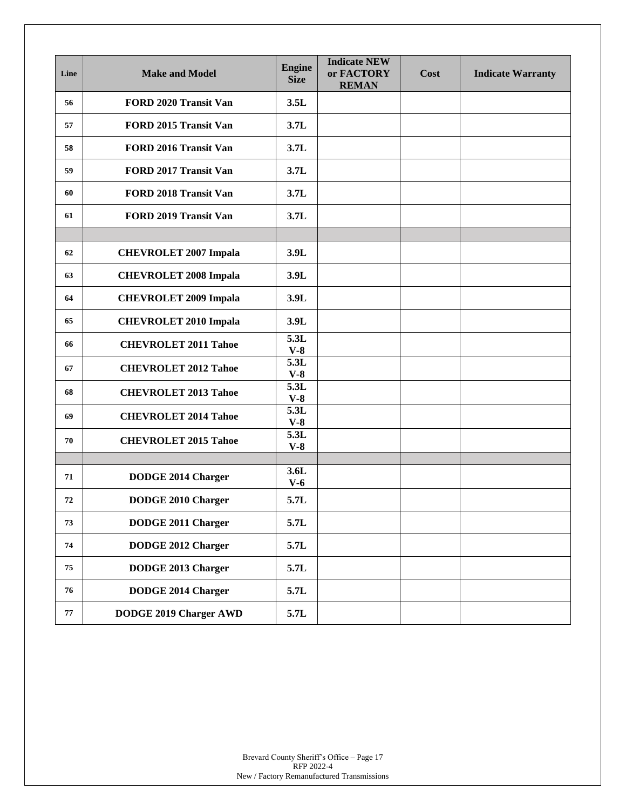| Line | <b>Make and Model</b>        | <b>Engine</b><br><b>Size</b> | <b>Indicate NEW</b><br>or FACTORY<br><b>REMAN</b> | Cost | <b>Indicate Warranty</b> |
|------|------------------------------|------------------------------|---------------------------------------------------|------|--------------------------|
| 56   | FORD 2020 Transit Van        | 3.5L                         |                                                   |      |                          |
| 57   | FORD 2015 Transit Van        | 3.7L                         |                                                   |      |                          |
| 58   | FORD 2016 Transit Van        | 3.7L                         |                                                   |      |                          |
| 59   | FORD 2017 Transit Van        | 3.7L                         |                                                   |      |                          |
| 60   | <b>FORD 2018 Transit Van</b> | 3.7L                         |                                                   |      |                          |
| 61   | FORD 2019 Transit Van        | 3.7L                         |                                                   |      |                          |
|      |                              |                              |                                                   |      |                          |
| 62   | <b>CHEVROLET 2007 Impala</b> | 3.9L                         |                                                   |      |                          |
| 63   | <b>CHEVROLET 2008 Impala</b> | 3.9L                         |                                                   |      |                          |
| 64   | <b>CHEVROLET 2009 Impala</b> | 3.9L                         |                                                   |      |                          |
| 65   | <b>CHEVROLET 2010 Impala</b> | 3.9L                         |                                                   |      |                          |
| 66   | <b>CHEVROLET 2011 Tahoe</b>  | 5.3L<br>$V-8$                |                                                   |      |                          |
| 67   | <b>CHEVROLET 2012 Tahoe</b>  | 5.3L<br>$V-8$                |                                                   |      |                          |
| 68   | <b>CHEVROLET 2013 Tahoe</b>  | 5.3L<br>$V-8$                |                                                   |      |                          |
| 69   | <b>CHEVROLET 2014 Tahoe</b>  | 5.3L<br>$V-8$                |                                                   |      |                          |
| 70   | <b>CHEVROLET 2015 Tahoe</b>  | 5.3L<br>$V-8$                |                                                   |      |                          |
|      |                              |                              |                                                   |      |                          |
| 71   | <b>DODGE 2014 Charger</b>    | 3.6L<br>$V-6$                |                                                   |      |                          |
| 72   | <b>DODGE 2010 Charger</b>    | 5.7L                         |                                                   |      |                          |
| 73   | DODGE 2011 Charger           | 5.7L                         |                                                   |      |                          |
| 74   | DODGE 2012 Charger           | 5.7L                         |                                                   |      |                          |
| 75   | DODGE 2013 Charger           | 5.7L                         |                                                   |      |                          |
| 76   | DODGE 2014 Charger           | 5.7L                         |                                                   |      |                          |
| 77   | DODGE 2019 Charger AWD       | 5.7L                         |                                                   |      |                          |